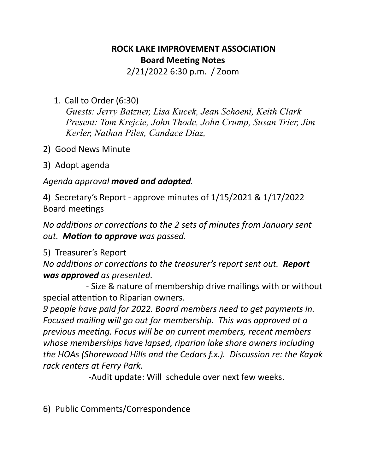## **ROCK LAKE IMPROVEMENT ASSOCIATION Board Meeting Notes**

2/21/2022 6:30 p.m. / Zoom

1. Call to Order (6:30)

*Guests: Jerry Batzner, Lisa Kucek, Jean Schoeni, Keith Clark Present: Tom Krejcie, John Thode, John Crump, Susan Trier, Jim Kerler, Nathan Piles, Candace Diaz,* 

- 2) Good News Minute
- 3) Adopt agenda

## Agenda approval moved and adopted.

4) Secretary's Report - approve minutes of  $1/15/2021$  &  $1/17/2022$ Board meetings

*No additions or corrections to the 2 sets of minutes from January sent out. Motion to approve* was passed.

## 5) Treasurer's Report

*No additions or corrections to the treasurer's report sent out. Report* **was approved** as presented.

- Size & nature of membership drive mailings with or without special attention to Riparian owners.

*9 people have paid for 2022. Board members need to get payments in. Focused mailing will go out for membership. This was approved at a previous meeting. Focus will be on current members, recent members* whose memberships have lapsed, riparian lake shore owners including *the HOAs (Shorewood Hills and the Cedars f.x.). Discussion re: the Kayak* rack renters at Ferry Park.

-Audit update: Will schedule over next few weeks.

6) Public Comments/Correspondence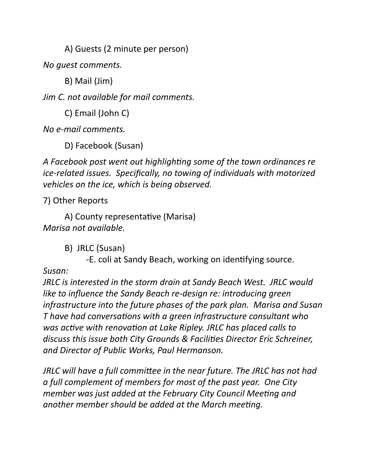A) Guests (2 minute per person)

*No guest comments.*

B) Mail (Jim)

*Jim C. not available for mail comments.* 

C) Email (John C)

*No e-mail comments.* 

D) Facebook (Susan)

A Facebook post went out highlighting some of the town ordinances re *ice-related issues. Specifically, no towing of individuals with motorized* vehicles on the ice, which is being observed.

7) Other Reports 

A) County representative (Marisa) *Marisa not available.* 

> B) JRLC (Susan) -E. coli at Sandy Beach, working on identifying source.

*Susan:* 

*JRLC* is interested in the storm drain at Sandy Beach West. JRLC would *like to influence the Sandy Beach re-design re: introducing green infrastructure into the future phases of the park plan. Marisa and Susan T* have had conversations with a green infrastructure consultant who was active with renovation at Lake Ripley. JRLC has placed calls to discuss this issue both City Grounds & Facilities Director Eric Schreiner, and Director of Public Works, Paul Hermanson.

*JRLC* will have a full committee in the near future. The JRLC has not had *a* full complement of members for most of the past year. One City *member* was just added at the February City Council Meeting and *another member should be added at the March meeting.*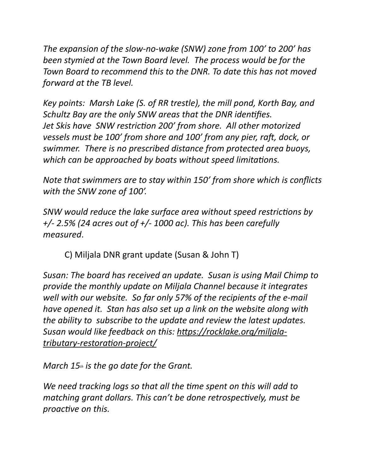The expansion of the slow-no-wake (SNW) zone from 100' to 200' has *been stymied at the Town Board level. The process would be for the Town Board to recommend this to the DNR. To date this has not moved forward at the TB level.* 

*Key points: Marsh Lake (S. of RR trestle), the mill pond, Korth Bay, and Schultz Bay are the only SNW areas that the DNR identifies.* Jet Skis have SNW restriction 200' from shore. All other motorized *vessels must be 100' from shore and 100' from any pier, raft, dock, or* swimmer. There is no prescribed distance from protected area buoys, which can be approached by boats without speed limitations.

*Note that swimmers are to stay within 150' from shore which is conflicts* with the SNW zone of 100'.

*SNW* would reduce the lake surface area without speed restrictions by *+/-* 2.5% (24 acres out of  $+/- 1000$  ac). This has been carefully *measured*. 

C) Miljala DNR grant update (Susan & John T)

*Susan:* The board has received an update. Susan is using Mail Chimp to *provide the monthly update on Miljala Channel because it integrates* well with our website. So far only 57% of the recipients of the e-mail *have opened it.* Stan has also set up a link on the website along with *the ability to subscribe to the update and review the latest updates.* Susan would like feedback on this: https://rocklake.org/miljala*[tributary-restora0on-project/](https://rocklake.org/miljala-tributary-restoration-project/)*

*March* 15<sup>th</sup> is the go date for the Grant.

*We need tracking logs so that all the time spent on this will add to matching grant dollars. This can't be done retrospectively, must be proactive on this.*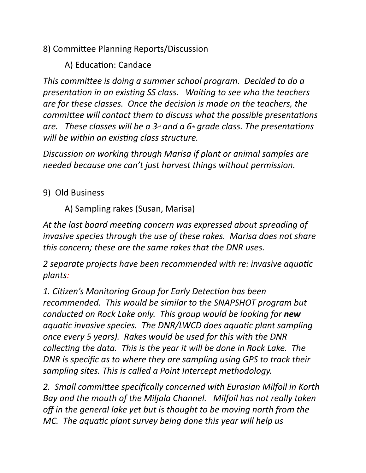8) Committee Planning Reports/Discussion

A) Education: Candace

This committee is doing a summer school program. Decided to do a *presentation in an existing SS class. Waiting to see who the teachers* are for these classes. Once the decision is made on the teachers, the *committee will contact them to discuss what the possible presentations are.* These classes will be a  $3<sub>rd</sub>$  and a  $6<sub>th</sub>$  grade class. The presentations *will* be within an existing class structure.

*Discussion on working through Marisa if plant or animal samples are needed because one can't just harvest things without permission.* 

9) Old Business

A) Sampling rakes (Susan, Marisa)

At the last board meeting concern was expressed about spreading of *invasive species through the use of these rakes. Marisa does not share this concern; these are the same rakes that the DNR uses.* 

*2* separate projects have been recommended with re: invasive aquatic *plants:*

1. Citizen's Monitoring Group for Early Detection has been *recommended.* This would be similar to the SNAPSHOT program but *conducted on Rock Lake only. This group would be looking for new aquatic invasive species. The DNR/LWCD does aquatic plant sampling once every* 5 years). Rakes would be used for this with the DNR *collecting the data.* This is the year it will be done in Rock Lake. The *DNR* is specific as to where they are sampling using GPS to track their sampling sites. This is called a Point Intercept methodology.

2. Small committee specifically concerned with Eurasian Milfoil in Korth Bay and the mouth of the Miljala Channel. Milfoil has not really taken off in the general lake yet but is thought to be moving north from the *MC.* The aquatic plant survey being done this year will help us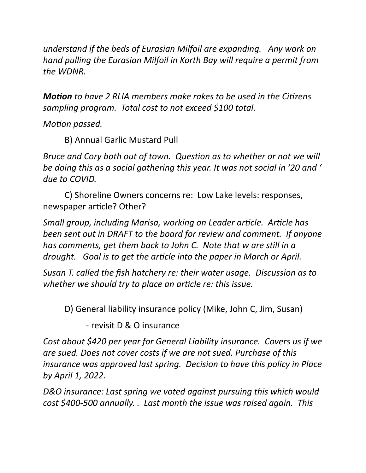*understand if the beds of Eurasian Milfoil are expanding. Any work on hand pulling the Eurasian Milfoil in Korth Bay will require a permit from the WDNR.*

*Motion* to have 2 RLIA members make rakes to be used in the Citizens *sampling program.* Total cost to not exceed \$100 total.

*Motion passed.* 

B) Annual Garlic Mustard Pull

*Bruce and Cory both out of town. Question as to whether or not we will be doing this as a social gathering this year. It was not social in '20 and '* due to COVID.

C) Shoreline Owners concerns re: Low Lake levels: responses, newspaper article? Other?

*Small group, including Marisa, working on Leader article. Article has been sent out in DRAFT to the board for review and comment. If anyone has comments, get them back to John C. Note that w are still in a drought.* Goal is to get the article into the paper in March or April.

*Susan T. called the fish hatchery re: their water usage. Discussion as to* whether we should try to place an article re: this issue.

D) General liability insurance policy (Mike, John C, Jim, Susan)

- revisit D & O insurance

*Cost about* \$420 per year for General Liability insurance. Covers us if we are sued. Does not cover costs if we are not sued. Purchase of this *insurance* was approved last spring. Decision to have this policy in Place *by April 1, 2022.* 

D&O insurance: Last spring we voted against pursuing this which would *cost* \$400-500 *annually.* . Last month the issue was raised again. This